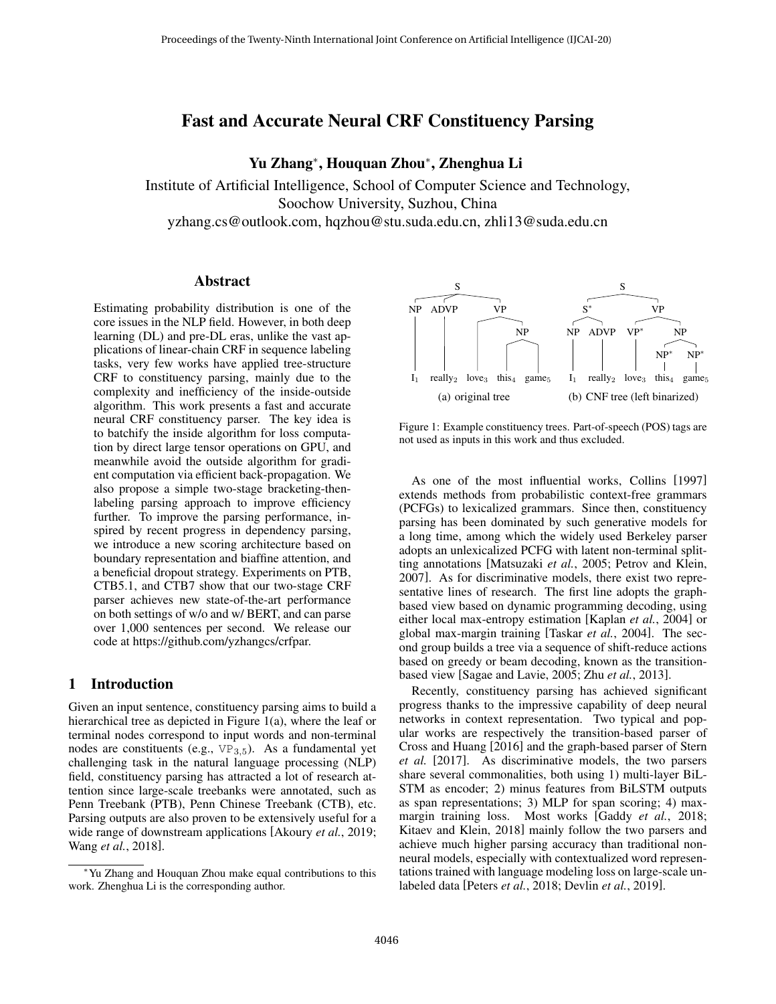# Fast and Accurate Neural CRF Constituency Parsing

Yu Zhang<sup>∗</sup> , Houquan Zhou<sup>∗</sup> , Zhenghua Li

Institute of Artificial Intelligence, School of Computer Science and Technology, Soochow University, Suzhou, China

yzhang.cs@outlook.com, hqzhou@stu.suda.edu.cn, zhli13@suda.edu.cn

#### Abstract

Estimating probability distribution is one of the core issues in the NLP field. However, in both deep learning (DL) and pre-DL eras, unlike the vast applications of linear-chain CRF in sequence labeling tasks, very few works have applied tree-structure CRF to constituency parsing, mainly due to the complexity and inefficiency of the inside-outside algorithm. This work presents a fast and accurate neural CRF constituency parser. The key idea is to batchify the inside algorithm for loss computation by direct large tensor operations on GPU, and meanwhile avoid the outside algorithm for gradient computation via efficient back-propagation. We also propose a simple two-stage bracketing-thenlabeling parsing approach to improve efficiency further. To improve the parsing performance, inspired by recent progress in dependency parsing, we introduce a new scoring architecture based on boundary representation and biaffine attention, and a beneficial dropout strategy. Experiments on PTB, CTB5.1, and CTB7 show that our two-stage CRF parser achieves new state-of-the-art performance on both settings of w/o and w/ BERT, and can parse over 1,000 sentences per second. We release our code at https://github.com/yzhangcs/crfpar.

## 1 Introduction

Given an input sentence, constituency parsing aims to build a hierarchical tree as depicted in Figure [1\(a\),](#page-0-0) where the leaf or terminal nodes correspond to input words and non-terminal nodes are constituents (e.g.,  $VP_{3,5}$ ). As a fundamental yet challenging task in the natural language processing (NLP) field, constituency parsing has attracted a lot of research attention since large-scale treebanks were annotated, such as Penn Treebank (PTB), Penn Chinese Treebank (CTB), etc. Parsing outputs are also proven to be extensively useful for a wide range of downstream applications [\[Akoury](#page-6-0) *et al.*, 2019; Wang *et al.*[, 2018\]](#page-7-0).

<span id="page-0-0"></span>

<span id="page-0-1"></span>Figure 1: Example constituency trees. Part-of-speech (POS) tags are not used as inputs in this work and thus excluded.

As one of the most influential works, [Collins](#page-6-1) [\[1997\]](#page-6-1) extends methods from probabilistic context-free grammars (PCFGs) to lexicalized grammars. Since then, constituency parsing has been dominated by such generative models for a long time, among which the widely used Berkeley parser adopts an unlexicalized PCFG with latent non-terminal splitting annotations [\[Matsuzaki](#page-7-1) *et al.*, 2005; [Petrov and Klein,](#page-7-2) [2007\]](#page-7-2). As for discriminative models, there exist two representative lines of research. The first line adopts the graphbased view based on dynamic programming decoding, using either local max-entropy estimation [\[Kaplan](#page-7-3) *et al.*, 2004] or global max-margin training [Taskar *et al.*[, 2004\]](#page-7-4). The second group builds a tree via a sequence of shift-reduce actions based on greedy or beam decoding, known as the transitionbased view [\[Sagae and Lavie, 2005;](#page-7-5) Zhu *et al.*[, 2013\]](#page-7-6).

Recently, constituency parsing has achieved significant progress thanks to the impressive capability of deep neural networks in context representation. Two typical and popular works are respectively the transition-based parser of [Cross and Huang](#page-6-2) [\[2016\]](#page-6-2) and the graph-based parser of [Stern](#page-7-7) *[et al.](#page-7-7)* [\[2017\]](#page-7-7). As discriminative models, the two parsers share several commonalities, both using 1) multi-layer BiL-STM as encoder; 2) minus features from BiLSTM outputs as span representations; 3) MLP for span scoring; 4) maxmargin training loss. Most works [\[Gaddy](#page-7-8) *et al.*, 2018; [Kitaev and Klein, 2018\]](#page-7-9) mainly follow the two parsers and achieve much higher parsing accuracy than traditional nonneural models, especially with contextualized word representations trained with language modeling loss on large-scale unlabeled data [\[Peters](#page-7-10) *et al.*, 2018; Devlin *et al.*[, 2019\]](#page-7-11).

<sup>∗</sup>Yu Zhang and Houquan Zhou make equal contributions to this work. Zhenghua Li is the corresponding author.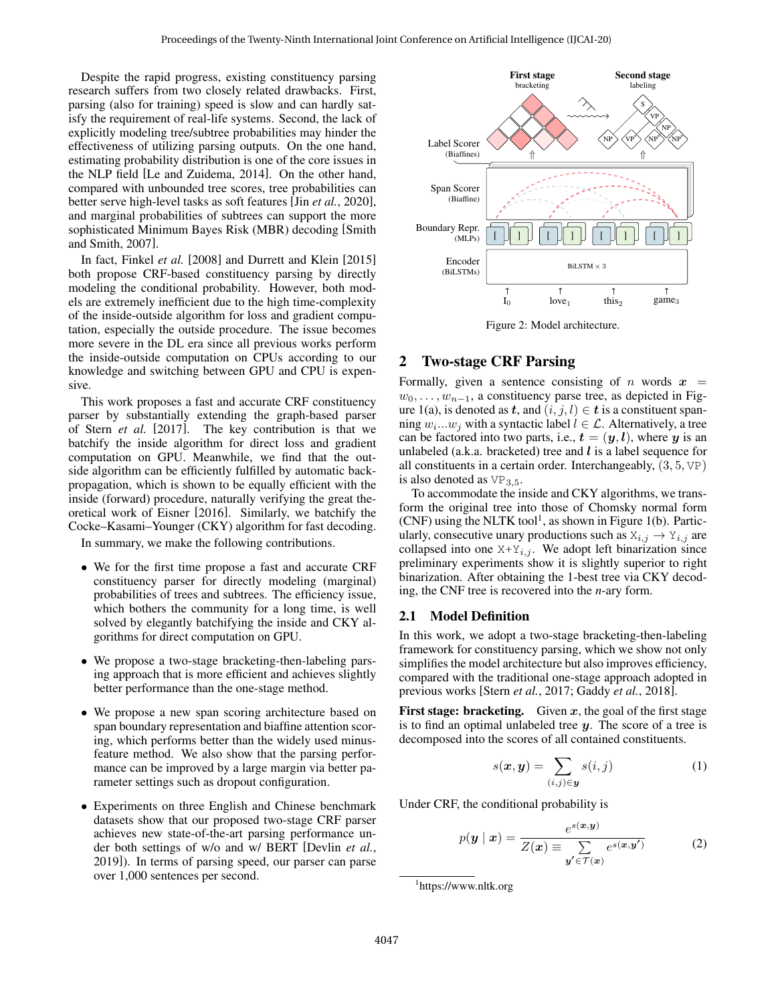Despite the rapid progress, existing constituency parsing research suffers from two closely related drawbacks. First, parsing (also for training) speed is slow and can hardly satisfy the requirement of real-life systems. Second, the lack of explicitly modeling tree/subtree probabilities may hinder the effectiveness of utilizing parsing outputs. On the one hand, estimating probability distribution is one of the core issues in the NLP field [\[Le and Zuidema, 2014\]](#page-7-12). On the other hand, compared with unbounded tree scores, tree probabilities can better serve high-level tasks as soft features [Jin *et al.*[, 2020\]](#page-7-13), and marginal probabilities of subtrees can support the more sophisticated Minimum Bayes Risk (MBR) decoding [\[Smith](#page-7-14) [and Smith, 2007\]](#page-7-14).

In fact, [Finkel](#page-7-15) *et al.* [\[2008\]](#page-7-15) and [Durrett and Klein](#page-7-16) [\[2015\]](#page-7-16) both propose CRF-based constituency parsing by directly modeling the conditional probability. However, both models are extremely inefficient due to the high time-complexity of the inside-outside algorithm for loss and gradient computation, especially the outside procedure. The issue becomes more severe in the DL era since all previous works perform the inside-outside computation on CPUs according to our knowledge and switching between GPU and CPU is expensive.

This work proposes a fast and accurate CRF constituency parser by substantially extending the graph-based parser of Stern *[et al.](#page-7-7)* [\[2017\]](#page-7-7). The key contribution is that we batchify the inside algorithm for direct loss and gradient computation on GPU. Meanwhile, we find that the outside algorithm can be efficiently fulfilled by automatic backpropagation, which is shown to be equally efficient with the inside (forward) procedure, naturally verifying the great theoretical work of [Eisner](#page-7-17) [\[2016\]](#page-7-17). Similarly, we batchify the Cocke–Kasami–Younger (CKY) algorithm for fast decoding.

In summary, we make the following contributions.

- We for the first time propose a fast and accurate CRF constituency parser for directly modeling (marginal) probabilities of trees and subtrees. The efficiency issue, which bothers the community for a long time, is well solved by elegantly batchifying the inside and CKY algorithms for direct computation on GPU.
- We propose a two-stage bracketing-then-labeling parsing approach that is more efficient and achieves slightly better performance than the one-stage method.
- We propose a new span scoring architecture based on span boundary representation and biaffine attention scoring, which performs better than the widely used minusfeature method. We also show that the parsing performance can be improved by a large margin via better parameter settings such as dropout configuration.
- Experiments on three English and Chinese benchmark datasets show that our proposed two-stage CRF parser achieves new state-of-the-art parsing performance under both settings of w/o and w/ BERT [\[Devlin](#page-7-11) *et al.*, [2019\]](#page-7-11)). In terms of parsing speed, our parser can parse over 1,000 sentences per second.

<span id="page-1-1"></span>

Figure 2: Model architecture.

### 2 Two-stage CRF Parsing

Formally, given a sentence consisting of n words  $x =$  $w_0, \ldots, w_{n-1}$ , a constituency parse tree, as depicted in Fig-ure [1\(a\),](#page-0-0) is denoted as t, and  $(i, j, l) \in t$  is a constituent spanning  $w_i...w_j$  with a syntactic label  $l \in \mathcal{L}$ . Alternatively, a tree can be factored into two parts, i.e.,  $t = (y, l)$ , where y is an unlabeled (a.k.a. bracketed) tree and  $l$  is a label sequence for all constituents in a certain order. Interchangeably, (3, 5, VP) is also denoted as  $VP_{3,5}$ .

To accommodate the inside and CKY algorithms, we transform the original tree into those of Chomsky normal form  $(CNF)$  using the NLTK tool<sup>[1](#page-1-0)</sup>, as shown in Figure [1\(b\).](#page-0-1) Particularly, consecutive unary productions such as  $X_{i,j} \to Y_{i,j}$  are collapsed into one  $X+Y_{i,j}$ . We adopt left binarization since preliminary experiments show it is slightly superior to right binarization. After obtaining the 1-best tree via CKY decoding, the CNF tree is recovered into the *n*-ary form.

#### <span id="page-1-3"></span>2.1 Model Definition

In this work, we adopt a two-stage bracketing-then-labeling framework for constituency parsing, which we show not only simplifies the model architecture but also improves efficiency, compared with the traditional one-stage approach adopted in previous works [Stern *et al.*[, 2017;](#page-7-7) Gaddy *et al.*[, 2018\]](#page-7-8).

**First stage: bracketing.** Given  $x$ , the goal of the first stage is to find an optimal unlabeled tree  $y$ . The score of a tree is decomposed into the scores of all contained constituents.

<span id="page-1-2"></span>
$$
s(\boldsymbol{x}, \boldsymbol{y}) = \sum_{(i,j) \in \boldsymbol{y}} s(i,j) \tag{1}
$$

Under CRF, the conditional probability is

$$
p(\mathbf{y} \mid \mathbf{x}) = \frac{e^{s(\mathbf{x}, \mathbf{y})}}{Z(\mathbf{x}) \equiv \sum_{\mathbf{y'} \in \mathcal{T}(\mathbf{x})} e^{s(\mathbf{x}, \mathbf{y'})}}
$$
(2)

<span id="page-1-0"></span><sup>1</sup> <https://www.nltk.org>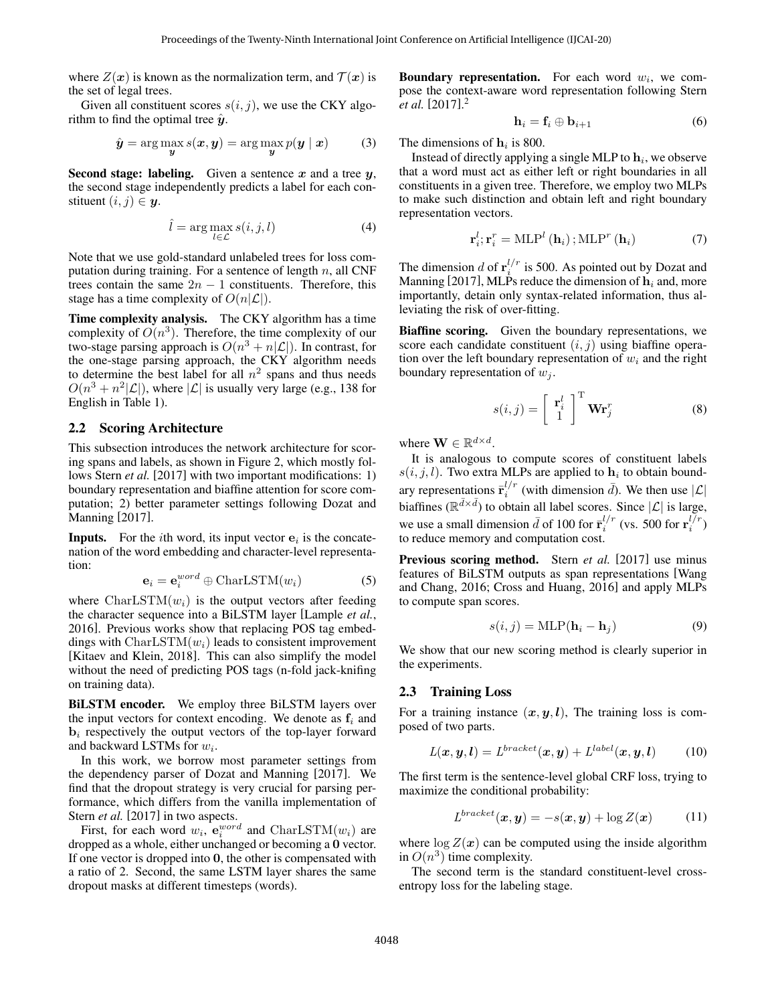where  $Z(x)$  is known as the normalization term, and  $T(x)$  is the set of legal trees.

Given all constituent scores  $s(i, j)$ , we use the CKY algorithm to find the optimal tree  $\hat{y}$ .

<span id="page-2-1"></span>
$$
\hat{\mathbf{y}} = \arg\max_{\mathbf{y}} s(\mathbf{x}, \mathbf{y}) = \arg\max_{\mathbf{y}} p(\mathbf{y} \mid \mathbf{x}) \tag{3}
$$

Second stage: labeling. Given a sentence  $x$  and a tree  $y$ , the second stage independently predicts a label for each constituent  $(i, j) \in y$ .

$$
\hat{l} = \arg\max_{l \in \mathcal{L}} s(i, j, l) \tag{4}
$$

Note that we use gold-standard unlabeled trees for loss computation during training. For a sentence of length  $n$ , all CNF trees contain the same  $2n - 1$  constituents. Therefore, this stage has a time complexity of  $O(n|\mathcal{L}|)$ .

Time complexity analysis. The CKY algorithm has a time complexity of  $O(n^3)$ . Therefore, the time complexity of our two-stage parsing approach is  $O(n^3 + n|\mathcal{L}|)$ . In contrast, for the one-stage parsing approach, the CKY algorithm needs to determine the best label for all  $n^2$  spans and thus needs  $O(n^3 + n^2|\mathcal{L}|)$ , where  $|\mathcal{L}|$  is usually very large (e.g., 138 for English in Table [1\)](#page-3-0).

#### 2.2 Scoring Architecture

This subsection introduces the network architecture for scoring spans and labels, as shown in Figure [2,](#page-1-1) which mostly fol-lows [Stern](#page-7-7) *et al.* [\[2017\]](#page-7-7) with two important modifications: 1) boundary representation and biaffine attention for score computation; 2) better parameter settings following [Dozat and](#page-7-18) [Manning](#page-7-18) [\[2017\]](#page-7-18).

**Inputs.** For the *i*th word, its input vector  $e_i$  is the concatenation of the word embedding and character-level representation:

$$
\mathbf{e}_i = \mathbf{e}_i^{word} \oplus \text{CharLSTM}(w_i)
$$
 (5)

where  $CharLSTM(w_i)$  is the output vectors after feeding the character sequence into a BiLSTM layer [\[Lample](#page-7-19) *et al.*, [2016\]](#page-7-19). Previous works show that replacing POS tag embeddings with  $CharLSTM(w_i)$  leads to consistent improvement [\[Kitaev and Klein, 2018\]](#page-7-9). This can also simplify the model without the need of predicting POS tags (n-fold jack-knifing on training data).

BiLSTM encoder. We employ three BiLSTM layers over the input vectors for context encoding. We denote as  $f_i$  and  **respectively the output vectors of the top-layer forward** and backward LSTMs for  $w_i$ .

In this work, we borrow most parameter settings from the dependency parser of [Dozat and Manning](#page-7-18) [\[2017\]](#page-7-18). We find that the dropout strategy is very crucial for parsing performance, which differs from the vanilla implementation of [Stern](#page-7-7) *et al.* [\[2017\]](#page-7-7) in two aspects.

First, for each word  $w_i$ ,  $\mathbf{e}_i^{word}$  and  $\text{CharLSTM}(w_i)$  are dropped as a whole, either unchanged or becoming a  $\dot{0}$  vector. If one vector is dropped into  $0$ , the other is compensated with a ratio of 2. Second, the same LSTM layer shares the same dropout masks at different timesteps (words).

**Boundary representation.** For each word  $w_i$ , we compose the context-aware word representation following [Stern](#page-7-7) *[et al.](#page-7-7)* [\[2017\]](#page-7-7). [2](#page-3-1)

$$
\mathbf{h}_i = \mathbf{f}_i \oplus \mathbf{b}_{i+1} \tag{6}
$$

The dimensions of  $\mathbf{h}_i$  is 800.

Instead of directly applying a single MLP to  $\mathbf{h}_i$ , we observe that a word must act as either left or right boundaries in all constituents in a given tree. Therefore, we employ two MLPs to make such distinction and obtain left and right boundary representation vectors.

$$
\mathbf{r}_{i}^{l};\mathbf{r}_{i}^{r} = \mathrm{MLP}^{l}\left(\mathbf{h}_{i}\right); \mathrm{MLP}^{r}\left(\mathbf{h}_{i}\right) \tag{7}
$$

The dimension d of  $\mathbf{r}_i^{l/r}$  is 500. As pointed out by [Dozat and](#page-7-18) [Manning](#page-7-18) [\[2017\]](#page-7-18), MLPs reduce the dimension of  $\mathbf{h}_i$  and, more importantly, detain only syntax-related information, thus alleviating the risk of over-fitting.

Biaffine scoring. Given the boundary representations, we score each candidate constituent  $(i, j)$  using biaffine operation over the left boundary representation of  $w_i$  and the right boundary representation of  $w_i$ .

$$
s(i,j) = \left[\begin{array}{c} \mathbf{r}_i^l \\ 1 \end{array}\right]^{\mathrm{T}} \mathbf{W} \mathbf{r}_j^r \tag{8}
$$

where  $\mathbf{W} \in \mathbb{R}^{d \times d}$ .

It is analogous to compute scores of constituent labels  $s(i, j, l)$ . Two extra MLPs are applied to  $\mathbf{h}_i$  to obtain boundary representations  $\bar{\mathbf{r}}_i^{l/r}$  (with dimension  $\bar{d}$ ). We then use  $|\mathcal{L}|$ biaffines ( $\mathbb{R}^{\bar{d} \times \bar{d}}$ ) to obtain all label scores. Since  $|\mathcal{L}|$  is large, we use a small dimension  $\bar{d}$  of 100 for  $\bar{r}_i^{l/r}$  (vs. 500 for  $r_i^{l/r}$ ) to reduce memory and computation cost.

Previous scoring method. Stern *[et al.](#page-7-7)* [\[2017\]](#page-7-7) use minus features of BiLSTM outputs as span representations [\[Wang](#page-7-20) [and Chang, 2016;](#page-7-20) [Cross and Huang, 2016\]](#page-6-2) and apply MLPs to compute span scores.

<span id="page-2-2"></span>
$$
s(i,j) = \text{MLP}(\mathbf{h}_i - \mathbf{h}_j)
$$
 (9)

We show that our new scoring method is clearly superior in the experiments.

#### 2.3 Training Loss

For a training instance  $(x, y, l)$ , The training loss is composed of two parts.

$$
L(\boldsymbol{x}, \boldsymbol{y}, \boldsymbol{l}) = L^{bracket}(\boldsymbol{x}, \boldsymbol{y}) + L^{label}(\boldsymbol{x}, \boldsymbol{y}, \boldsymbol{l}) \qquad (10)
$$

The first term is the sentence-level global CRF loss, trying to maximize the conditional probability:

<span id="page-2-0"></span>
$$
L^{bracket}(\boldsymbol{x}, \boldsymbol{y}) = -s(\boldsymbol{x}, \boldsymbol{y}) + \log Z(\boldsymbol{x}) \tag{11}
$$

where  $\log Z(x)$  can be computed using the inside algorithm in  $O(n^3)$  time complexity.

The second term is the standard constituent-level crossentropy loss for the labeling stage.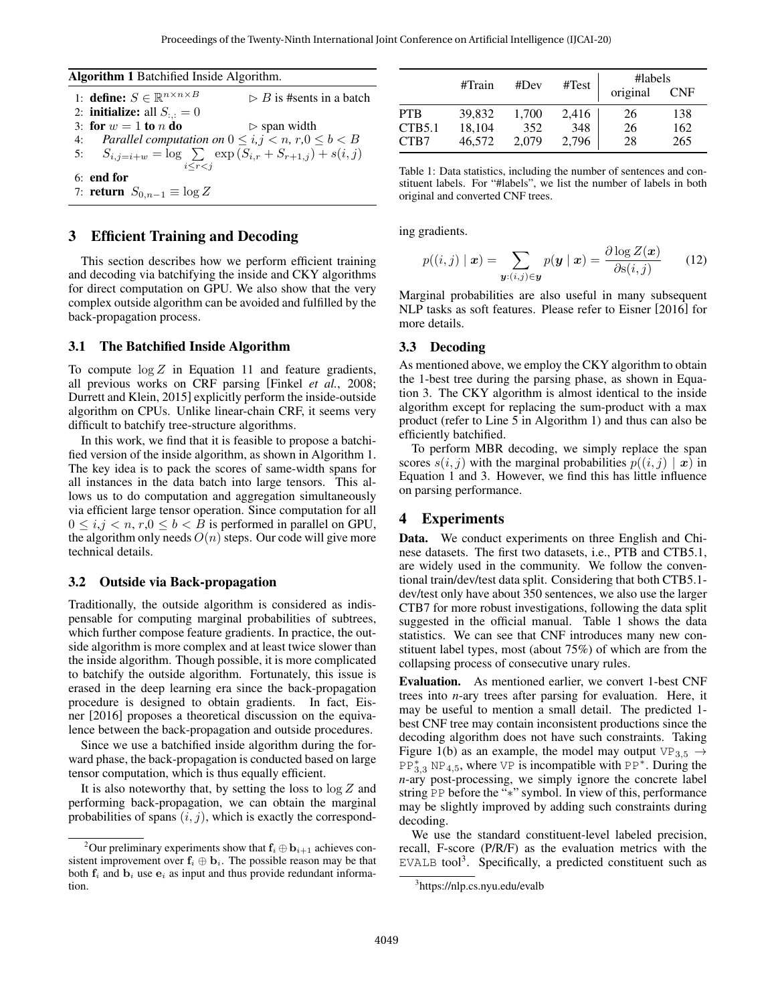Algorithm 1 Batchified Inside Algorithm.

| 1: define: $S \in \mathbb{R}^{n \times n \times B}$             | $\triangleright$ B is #sents in a batch |
|-----------------------------------------------------------------|-----------------------------------------|
| 2: <b>initialize:</b> all $S_{:,:} = 0$                         |                                         |
| 3: for $w = 1$ to n do                                          | $\triangleright$ span width             |
| 4: Parallel computation on $0 \le i, j < n, r, 0 \le b < B$     |                                         |
| 5: $S_{i,j=i+w} = \log \sum \exp(S_{i,r} + S_{r+1,i}) + s(i,j)$ |                                         |
| $i \leq r \leq i$                                               |                                         |
| $6:$ end for                                                    |                                         |
| 7: <b>return</b> $S_{0,n-1} \equiv \log Z$                      |                                         |

### <span id="page-3-2"></span>3 Efficient Training and Decoding

This section describes how we perform efficient training and decoding via batchifying the inside and CKY algorithms for direct computation on GPU. We also show that the very complex outside algorithm can be avoided and fulfilled by the back-propagation process.

#### 3.1 The Batchified Inside Algorithm

To compute  $\log Z$  in Equation [11](#page-2-0) and feature gradients, all previous works on CRF parsing [Finkel *et al.*[, 2008;](#page-7-15) [Durrett and Klein, 2015\]](#page-7-16) explicitly perform the inside-outside algorithm on CPUs. Unlike linear-chain CRF, it seems very difficult to batchify tree-structure algorithms.

In this work, we find that it is feasible to propose a batchified version of the inside algorithm, as shown in Algorithm [1.](#page-3-2) The key idea is to pack the scores of same-width spans for all instances in the data batch into large tensors. This allows us to do computation and aggregation simultaneously via efficient large tensor operation. Since computation for all  $0 \le i, j \le n, r, 0 \le b \le B$  is performed in parallel on GPU, the algorithm only needs  $O(n)$  steps. Our code will give more technical details.

#### 3.2 Outside via Back-propagation

Traditionally, the outside algorithm is considered as indispensable for computing marginal probabilities of subtrees, which further compose feature gradients. In practice, the outside algorithm is more complex and at least twice slower than the inside algorithm. Though possible, it is more complicated to batchify the outside algorithm. Fortunately, this issue is erased in the deep learning era since the back-propagation procedure is designed to obtain gradients. In fact, [Eis](#page-7-17)[ner](#page-7-17) [\[2016\]](#page-7-17) proposes a theoretical discussion on the equivalence between the back-propagation and outside procedures.

Since we use a batchified inside algorithm during the forward phase, the back-propagation is conducted based on large tensor computation, which is thus equally efficient.

It is also noteworthy that, by setting the loss to  $\log Z$  and performing back-propagation, we can obtain the marginal probabilities of spans  $(i, j)$ , which is exactly the correspond-

<span id="page-3-0"></span>

|                | #Train           | #Dev         | #Test        | #labels<br>original | <b>CNF</b> |
|----------------|------------------|--------------|--------------|---------------------|------------|
| <b>PTB</b>     | 39,832           | 1.700        | 2,416        | 26                  | 138        |
| CTB5.1<br>CTB7 | 18,104<br>46,572 | 352<br>2.079 | 348<br>2,796 | 26<br>28            | 162<br>265 |

<span id="page-3-3"></span>Table 1: Data statistics, including the number of sentences and constituent labels. For "#labels", we list the number of labels in both original and converted CNF trees.

ing gradients.

$$
p((i,j) \mid \boldsymbol{x}) = \sum_{\boldsymbol{y}: (i,j) \in \boldsymbol{y}} p(\boldsymbol{y} \mid \boldsymbol{x}) = \frac{\partial \log Z(\boldsymbol{x})}{\partial \mathbf{s}(i,j)} \qquad (12)
$$

Marginal probabilities are also useful in many subsequent NLP tasks as soft features. Please refer to [Eisner](#page-7-17) [\[2016\]](#page-7-17) for more details.

#### 3.3 Decoding

As mentioned above, we employ the CKY algorithm to obtain the 1-best tree during the parsing phase, as shown in Equation [3.](#page-2-1) The CKY algorithm is almost identical to the inside algorithm except for replacing the sum-product with a max product (refer to Line [5](#page-3-3) in Algorithm [1\)](#page-3-2) and thus can also be efficiently batchified.

To perform MBR decoding, we simply replace the span scores  $s(i, j)$  with the marginal probabilities  $p((i, j) | x)$  in Equation [1](#page-1-2) and [3.](#page-2-1) However, we find this has little influence on parsing performance.

### 4 Experiments

Data. We conduct experiments on three English and Chinese datasets. The first two datasets, i.e., PTB and CTB5.1, are widely used in the community. We follow the conventional train/dev/test data split. Considering that both CTB5.1 dev/test only have about 350 sentences, we also use the larger CTB7 for more robust investigations, following the data split suggested in the official manual. Table [1](#page-3-0) shows the data statistics. We can see that CNF introduces many new constituent label types, most (about 75%) of which are from the collapsing process of consecutive unary rules.

Evaluation. As mentioned earlier, we convert 1-best CNF trees into *n*-ary trees after parsing for evaluation. Here, it may be useful to mention a small detail. The predicted 1 best CNF tree may contain inconsistent productions since the decoding algorithm does not have such constraints. Taking Figure [1\(b\)](#page-0-1) as an example, the model may output VP<sub>3,5</sub>  $\rightarrow$  $PP_{3,3}^* NP_{4,5}$ , where VP is incompatible with PP<sup>\*</sup>. During the *n*-ary post-processing, we simply ignore the concrete label string PP before the "∗" symbol. In view of this, performance may be slightly improved by adding such constraints during decoding.

We use the standard constituent-level labeled precision, recall, F-score (P/R/F) as the evaluation metrics with the EVALB tool<sup>[3](#page-3-4)</sup>. Specifically, a predicted constituent such as

<span id="page-3-1"></span><sup>&</sup>lt;sup>2</sup>Our preliminary experiments show that  $f_i \oplus b_{i+1}$  achieves consistent improvement over  $f_i \oplus b_i$ . The possible reason may be that both  $f_i$  and  $b_i$  use  $e_i$  as input and thus provide redundant information.

<span id="page-3-4"></span><sup>3</sup> <https://nlp.cs.nyu.edu/evalb>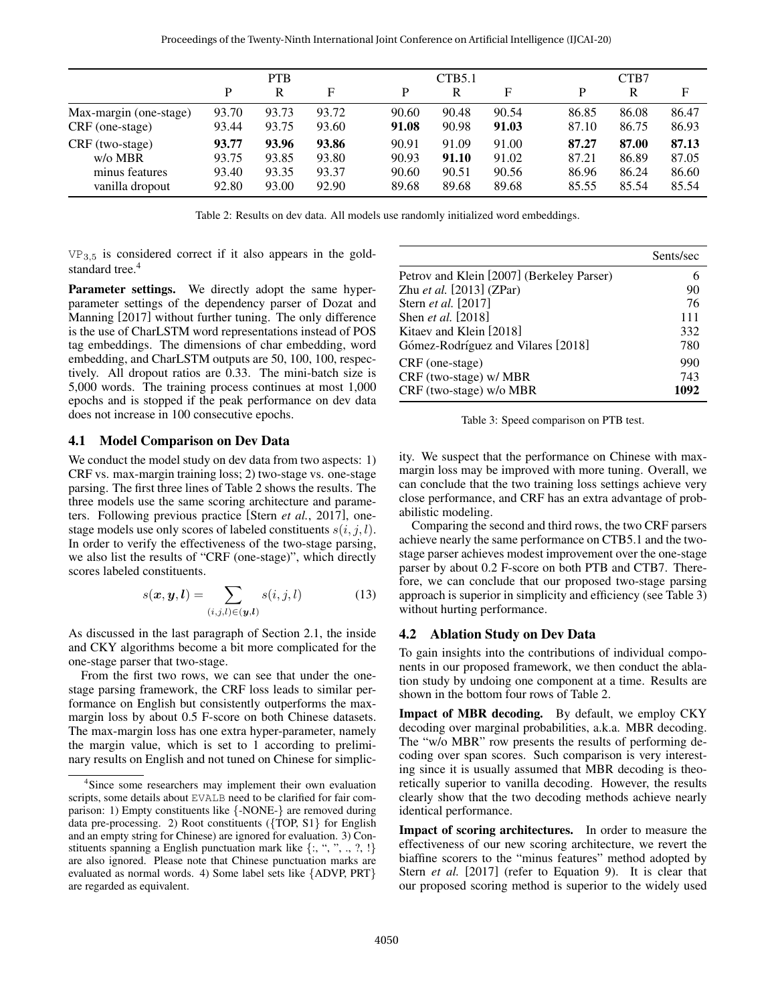<span id="page-4-1"></span>

|                        | <b>PTB</b> |       |       |       | CTB5.1 |       |       | CTB7  |       |  |
|------------------------|------------|-------|-------|-------|--------|-------|-------|-------|-------|--|
|                        | P          | R     | F     | P     | R      | F     | P     | R     | F     |  |
| Max-margin (one-stage) | 93.70      | 93.73 | 93.72 | 90.60 | 90.48  | 90.54 | 86.85 | 86.08 | 86.47 |  |
| CRF (one-stage)        | 93.44      | 93.75 | 93.60 | 91.08 | 90.98  | 91.03 | 87.10 | 86.75 | 86.93 |  |
| CRF (two-stage)        | 93.77      | 93.96 | 93.86 | 90.91 | 91.09  | 91.00 | 87.27 | 87.00 | 87.13 |  |
| $w$ / $\alpha$ MBR     | 93.75      | 93.85 | 93.80 | 90.93 | 91.10  | 91.02 | 87.21 | 86.89 | 87.05 |  |
| minus features         | 93.40      | 93.35 | 93.37 | 90.60 | 90.51  | 90.56 | 86.96 | 86.24 | 86.60 |  |
| vanilla dropout        | 92.80      | 93.00 | 92.90 | 89.68 | 89.68  | 89.68 | 85.55 | 85.54 | 85.54 |  |

Table 2: Results on dev data. All models use randomly initialized word embeddings.

 $VP_{3,5}$  is considered correct if it also appears in the gold-standard tree.<sup>[4](#page-4-0)</sup>

Parameter settings. We directly adopt the same hyperparameter settings of the dependency parser of [Dozat and](#page-7-18) [Manning](#page-7-18) [\[2017\]](#page-7-18) without further tuning. The only difference is the use of CharLSTM word representations instead of POS tag embeddings. The dimensions of char embedding, word embedding, and CharLSTM outputs are 50, 100, 100, respectively. All dropout ratios are 0.33. The mini-batch size is 5,000 words. The training process continues at most 1,000 epochs and is stopped if the peak performance on dev data does not increase in 100 consecutive epochs.

#### 4.1 Model Comparison on Dev Data

We conduct the model study on dev data from two aspects: 1) CRF vs. max-margin training loss; 2) two-stage vs. one-stage parsing. The first three lines of Table [2](#page-4-1) shows the results. The three models use the same scoring architecture and parameters. Following previous practice [Stern *et al.*[, 2017\]](#page-7-7), onestage models use only scores of labeled constituents  $s(i, j, l)$ . In order to verify the effectiveness of the two-stage parsing, we also list the results of "CRF (one-stage)", which directly scores labeled constituents.

$$
s(\boldsymbol{x}, \boldsymbol{y}, \boldsymbol{l}) = \sum_{(i,j,l) \in (\boldsymbol{y}, \boldsymbol{l})} s(i,j,l) \tag{13}
$$

As discussed in the last paragraph of Section [2.1,](#page-1-3) the inside and CKY algorithms become a bit more complicated for the one-stage parser that two-stage.

From the first two rows, we can see that under the onestage parsing framework, the CRF loss leads to similar performance on English but consistently outperforms the maxmargin loss by about 0.5 F-score on both Chinese datasets. The max-margin loss has one extra hyper-parameter, namely the margin value, which is set to 1 according to preliminary results on English and not tuned on Chinese for simplic-

<span id="page-4-2"></span>

|                                           | Sents/sec |
|-------------------------------------------|-----------|
| Petrov and Klein [2007] (Berkeley Parser) |           |
| Zhu et al. [2013] (ZPar)                  | 90        |
| Stern et al. [2017]                       | 76        |
| Shen et al. [2018]                        | 111       |
| Kitaev and Klein [2018]                   | 332       |
| Gómez-Rodríguez and Vilares [2018]        | 780       |
| CRF (one-stage)                           | 990       |
| CRF (two-stage) w/ MBR                    | 743       |
| CRF (two-stage) w/o MBR                   | 1092      |

Table 3: Speed comparison on PTB test.

ity. We suspect that the performance on Chinese with maxmargin loss may be improved with more tuning. Overall, we can conclude that the two training loss settings achieve very close performance, and CRF has an extra advantage of probabilistic modeling.

Comparing the second and third rows, the two CRF parsers achieve nearly the same performance on CTB5.1 and the twostage parser achieves modest improvement over the one-stage parser by about 0.2 F-score on both PTB and CTB7. Therefore, we can conclude that our proposed two-stage parsing approach is superior in simplicity and efficiency (see Table [3\)](#page-4-2) without hurting performance.

#### 4.2 Ablation Study on Dev Data

To gain insights into the contributions of individual components in our proposed framework, we then conduct the ablation study by undoing one component at a time. Results are shown in the bottom four rows of Table [2.](#page-4-1)

Impact of MBR decoding. By default, we employ CKY decoding over marginal probabilities, a.k.a. MBR decoding. The "w/o MBR" row presents the results of performing decoding over span scores. Such comparison is very interesting since it is usually assumed that MBR decoding is theoretically superior to vanilla decoding. However, the results clearly show that the two decoding methods achieve nearly identical performance.

Impact of scoring architectures. In order to measure the effectiveness of our new scoring architecture, we revert the biaffine scorers to the "minus features" method adopted by Stern *[et al.](#page-7-7)* [\[2017\]](#page-7-7) (refer to Equation [9\)](#page-2-2). It is clear that our proposed scoring method is superior to the widely used

<span id="page-4-0"></span><sup>4</sup> Since some researchers may implement their own evaluation scripts, some details about EVALB need to be clarified for fair comparison: 1) Empty constituents like {-NONE-} are removed during data pre-processing. 2) Root constituents ({TOP, S1} for English and an empty string for Chinese) are ignored for evaluation. 3) Constituents spanning a English punctuation mark like  $\{:\, \tilde{\,}, \, \tilde{\,}, \, \ldots, \, \tilde{\,}\}$ are also ignored. Please note that Chinese punctuation marks are evaluated as normal words. 4) Some label sets like {ADVP, PRT} are regarded as equivalent.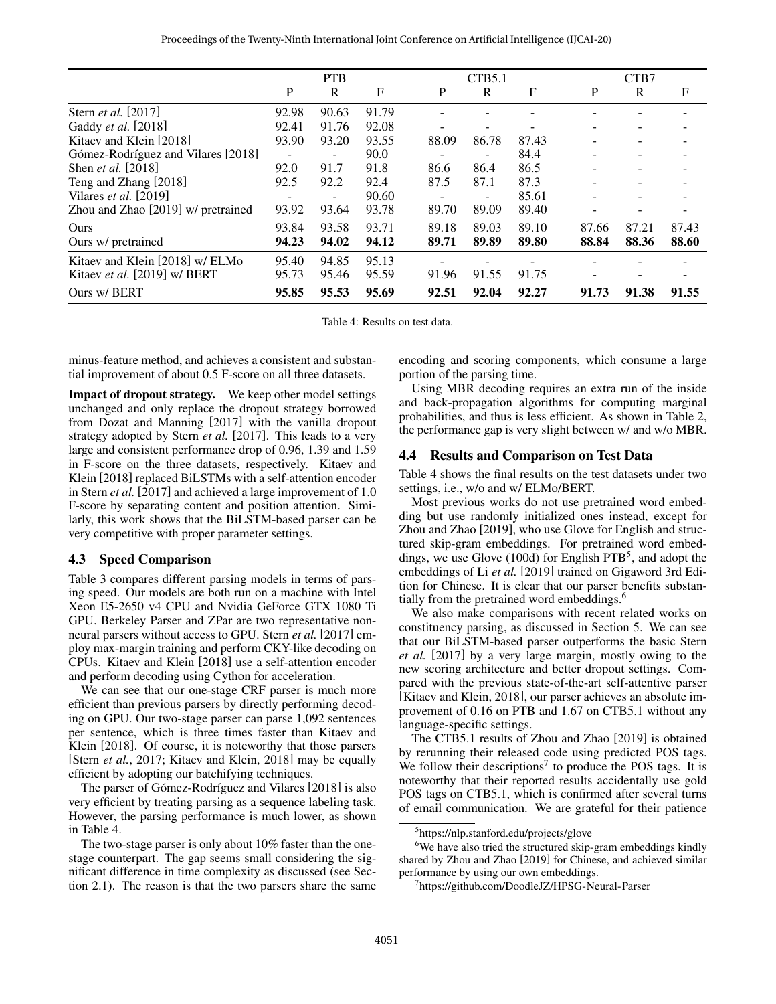<span id="page-5-0"></span>

|                                    | <b>PTB</b> |       |       |       | CTB5.1 |             |       | CTB7  |       |  |
|------------------------------------|------------|-------|-------|-------|--------|-------------|-------|-------|-------|--|
|                                    | P          | R     | F     | P     | R      | $\mathbf F$ | P     | R     | F     |  |
| Stern <i>et al.</i> [2017]         | 92.98      | 90.63 | 91.79 |       |        |             |       |       |       |  |
| Gaddy et al. [2018]                | 92.41      | 91.76 | 92.08 |       |        |             |       |       |       |  |
| Kitaev and Klein [2018]            | 93.90      | 93.20 | 93.55 | 88.09 | 86.78  | 87.43       |       |       |       |  |
| Gómez-Rodríguez and Vilares [2018] |            |       | 90.0  |       |        | 84.4        |       |       |       |  |
| Shen <i>et al.</i> [2018]          | 92.0       | 91.7  | 91.8  | 86.6  | 86.4   | 86.5        |       |       |       |  |
| Teng and Zhang [2018]              | 92.5       | 92.2  | 92.4  | 87.5  | 87.1   | 87.3        |       |       |       |  |
| Vilares et al. $[2019]$            |            | ۰     | 90.60 |       | -      | 85.61       |       |       |       |  |
| Zhou and Zhao [2019] w/ pretrained | 93.92      | 93.64 | 93.78 | 89.70 | 89.09  | 89.40       |       |       |       |  |
| Ours                               | 93.84      | 93.58 | 93.71 | 89.18 | 89.03  | 89.10       | 87.66 | 87.21 | 87.43 |  |
| Ours w/ pretrained                 | 94.23      | 94.02 | 94.12 | 89.71 | 89.89  | 89.80       | 88.84 | 88.36 | 88.60 |  |
| Kitaev and Klein [2018] w/ ELMo    | 95.40      | 94.85 | 95.13 |       |        |             |       |       |       |  |
| Kitaev et al. [2019] w/ BERT       | 95.73      | 95.46 | 95.59 | 91.96 | 91.55  | 91.75       |       |       |       |  |
| Ours w/ BERT                       | 95.85      | 95.53 | 95.69 | 92.51 | 92.04  | 92.27       | 91.73 | 91.38 | 91.55 |  |

Table 4: Results on test data.

minus-feature method, and achieves a consistent and substantial improvement of about 0.5 F-score on all three datasets.

Impact of dropout strategy. We keep other model settings unchanged and only replace the dropout strategy borrowed from [Dozat and Manning](#page-7-18) [\[2017\]](#page-7-18) with the vanilla dropout strategy adopted by [Stern](#page-7-7) *et al.* [\[2017\]](#page-7-7). This leads to a very large and consistent performance drop of 0.96, 1.39 and 1.59 in F-score on the three datasets, respectively. [Kitaev and](#page-7-9) [Klein](#page-7-9) [\[2018\]](#page-7-9) replaced BiLSTMs with a self-attention encoder in [Stern](#page-7-7) *et al.* [\[2017\]](#page-7-7) and achieved a large improvement of 1.0 F-score by separating content and position attention. Similarly, this work shows that the BiLSTM-based parser can be very competitive with proper parameter settings.

#### 4.3 Speed Comparison

Table [3](#page-4-2) compares different parsing models in terms of parsing speed. Our models are both run on a machine with Intel Xeon E5-2650 v4 CPU and Nvidia GeForce GTX 1080 Ti GPU. Berkeley Parser and ZPar are two representative nonneural parsers without access to GPU. [Stern](#page-7-7) *et al.* [\[2017\]](#page-7-7) employ max-margin training and perform CKY-like decoding on CPUs. [Kitaev and Klein](#page-7-9) [\[2018\]](#page-7-9) use a self-attention encoder and perform decoding using Cython for acceleration.

We can see that our one-stage CRF parser is much more efficient than previous parsers by directly performing decoding on GPU. Our two-stage parser can parse 1,092 sentences per sentence, which is three times faster than [Kitaev and](#page-7-9) [Klein](#page-7-9) [\[2018\]](#page-7-9). Of course, it is noteworthy that those parsers [Stern *et al.*[, 2017;](#page-7-7) [Kitaev and Klein, 2018\]](#page-7-9) may be equally efficient by adopting our batchifying techniques.

The parser of Gómez-Rodríguez and Vilares [\[2018\]](#page-7-22) is also very efficient by treating parsing as a sequence labeling task. However, the parsing performance is much lower, as shown in Table [4.](#page-5-0)

The two-stage parser is only about 10% faster than the onestage counterpart. The gap seems small considering the significant difference in time complexity as discussed (see Section [2.1\)](#page-1-3). The reason is that the two parsers share the same encoding and scoring components, which consume a large portion of the parsing time.

Using MBR decoding requires an extra run of the inside and back-propagation algorithms for computing marginal probabilities, and thus is less efficient. As shown in Table [2,](#page-4-1) the performance gap is very slight between w/ and w/o MBR.

#### 4.4 Results and Comparison on Test Data

Table [4](#page-5-0) shows the final results on the test datasets under two settings, i.e., w/o and w/ ELMo/BERT.

Most previous works do not use pretrained word embedding but use randomly initialized ones instead, except for [Zhou and Zhao](#page-7-25) [\[2019\]](#page-7-25), who use Glove for English and structured skip-gram embeddings. For pretrained word embed-dings, we use Glove (100d) for English PTB<sup>[5](#page-5-1)</sup>, and adopt the embeddings of Li *[et al.](#page-7-27)* [\[2019\]](#page-7-27) trained on Gigaword 3rd Edition for Chinese. It is clear that our parser benefits substan-tially from the pretrained word embeddings.<sup>[6](#page-5-2)</sup>

We also make comparisons with recent related works on constituency parsing, as discussed in Section [5.](#page-6-3) We can see that our BiLSTM-based parser outperforms the basic [Stern](#page-7-7) *[et al.](#page-7-7)* [\[2017\]](#page-7-7) by a very large margin, mostly owing to the new scoring architecture and better dropout settings. Compared with the previous state-of-the-art self-attentive parser [\[Kitaev and Klein, 2018\]](#page-7-9), our parser achieves an absolute improvement of 0.16 on PTB and 1.67 on CTB5.1 without any language-specific settings.

The CTB5.1 results of [Zhou and Zhao](#page-7-25) [\[2019\]](#page-7-25) is obtained by rerunning their released code using predicted POS tags. We follow their descriptions<sup>[7](#page-5-3)</sup> to produce the POS tags. It is noteworthy that their reported results accidentally use gold POS tags on CTB5.1, which is confirmed after several turns of email communication. We are grateful for their patience

<span id="page-5-2"></span><span id="page-5-1"></span><sup>5</sup> <https://nlp.stanford.edu/projects/glove>

<sup>&</sup>lt;sup>6</sup>We have also tried the structured skip-gram embeddings kindly shared by [Zhou and Zhao](#page-7-25) [\[2019\]](#page-7-25) for Chinese, and achieved similar performance by using our own embeddings.

<span id="page-5-3"></span><sup>7</sup> <https://github.com/DoodleJZ/HPSG-Neural-Parser>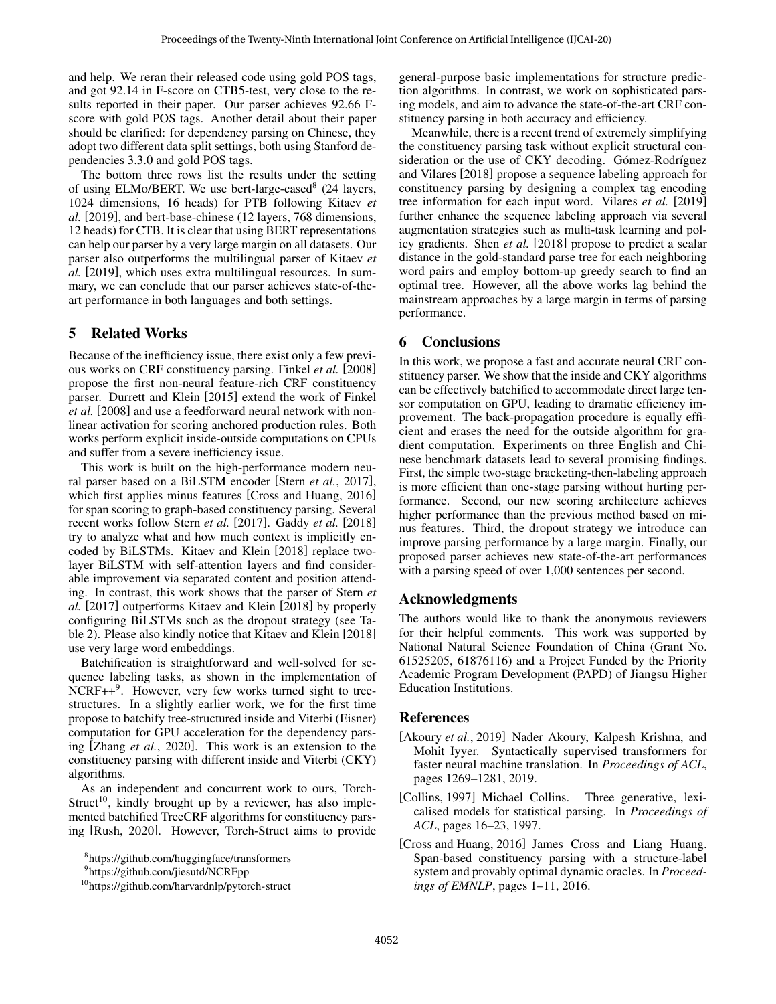and help. We reran their released code using gold POS tags, and got 92.14 in F-score on CTB5-test, very close to the results reported in their paper. Our parser achieves 92.66 Fscore with gold POS tags. Another detail about their paper should be clarified: for dependency parsing on Chinese, they adopt two different data split settings, both using Stanford dependencies 3.3.0 and gold POS tags.

The bottom three rows list the results under the setting of using ELMo/BERT. We use bert-large-cased<sup>[8](#page-6-4)</sup> (24 layers, 1024 dimensions, 16 heads) for PTB following [Kitaev](#page-7-26) *et [al.](#page-7-26)* [\[2019\]](#page-7-26), and bert-base-chinese (12 layers, 768 dimensions, 12 heads) for CTB. It is clear that using BERT representations can help our parser by a very large margin on all datasets. Our parser also outperforms the multilingual parser of [Kitaev](#page-7-26) *et [al.](#page-7-26)* [\[2019\]](#page-7-26), which uses extra multilingual resources. In summary, we can conclude that our parser achieves state-of-theart performance in both languages and both settings.

### <span id="page-6-3"></span>5 Related Works

Because of the inefficiency issue, there exist only a few previous works on CRF constituency parsing. [Finkel](#page-7-15) *et al.* [\[2008\]](#page-7-15) propose the first non-neural feature-rich CRF constituency parser. [Durrett and Klein](#page-7-16) [\[2015\]](#page-7-16) extend the work of [Finkel](#page-7-15) *[et al.](#page-7-15)* [\[2008\]](#page-7-15) and use a feedforward neural network with nonlinear activation for scoring anchored production rules. Both works perform explicit inside-outside computations on CPUs and suffer from a severe inefficiency issue.

This work is built on the high-performance modern neural parser based on a BiLSTM encoder [Stern *et al.*[, 2017\]](#page-7-7), which first applies minus features [\[Cross and Huang, 2016\]](#page-6-2) for span scoring to graph-based constituency parsing. Several recent works follow [Stern](#page-7-7) *et al.* [\[2017\]](#page-7-7). [Gaddy](#page-7-8) *et al.* [\[2018\]](#page-7-8) try to analyze what and how much context is implicitly encoded by BiLSTMs. [Kitaev and Klein](#page-7-9) [\[2018\]](#page-7-9) replace twolayer BiLSTM with self-attention layers and find considerable improvement via separated content and position attending. In contrast, this work shows that the parser of [Stern](#page-7-7) *et [al.](#page-7-7)* [\[2017\]](#page-7-7) outperforms [Kitaev and Klein](#page-7-9) [\[2018\]](#page-7-9) by properly configuring BiLSTMs such as the dropout strategy (see Table [2\)](#page-4-1). Please also kindly notice that [Kitaev and Klein](#page-7-9) [\[2018\]](#page-7-9) use very large word embeddings.

Batchification is straightforward and well-solved for sequence labeling tasks, as shown in the implementation of  $NCRF++<sup>9</sup>$  $NCRF++<sup>9</sup>$  $NCRF++<sup>9</sup>$ . However, very few works turned sight to treestructures. In a slightly earlier work, we for the first time propose to batchify tree-structured inside and Viterbi (Eisner) computation for GPU acceleration for the dependency parsing [Zhang *et al.*[, 2020\]](#page-7-28). This work is an extension to the constituency parsing with different inside and Viterbi (CKY) algorithms.

As an independent and concurrent work to ours, Torch-Struct<sup>[10](#page-6-6)</sup>, kindly brought up by a reviewer, has also implemented batchified TreeCRF algorithms for constituency parsing [\[Rush, 2020\]](#page-7-29). However, Torch-Struct aims to provide general-purpose basic implementations for structure prediction algorithms. In contrast, we work on sophisticated parsing models, and aim to advance the state-of-the-art CRF constituency parsing in both accuracy and efficiency.

Meanwhile, there is a recent trend of extremely simplifying the constituency parsing task without explicit structural consideration or the use of CKY decoding. Gómez-Rodríguez [and Vilares](#page-7-22) [\[2018\]](#page-7-22) propose a sequence labeling approach for constituency parsing by designing a complex tag encoding tree information for each input word. [Vilares](#page-7-24) *et al.* [\[2019\]](#page-7-24) further enhance the sequence labeling approach via several augmentation strategies such as multi-task learning and policy gradients. [Shen](#page-7-21) *et al.* [\[2018\]](#page-7-21) propose to predict a scalar distance in the gold-standard parse tree for each neighboring word pairs and employ bottom-up greedy search to find an optimal tree. However, all the above works lag behind the mainstream approaches by a large margin in terms of parsing performance.

### 6 Conclusions

In this work, we propose a fast and accurate neural CRF constituency parser. We show that the inside and CKY algorithms can be effectively batchified to accommodate direct large tensor computation on GPU, leading to dramatic efficiency improvement. The back-propagation procedure is equally efficient and erases the need for the outside algorithm for gradient computation. Experiments on three English and Chinese benchmark datasets lead to several promising findings. First, the simple two-stage bracketing-then-labeling approach is more efficient than one-stage parsing without hurting performance. Second, our new scoring architecture achieves higher performance than the previous method based on minus features. Third, the dropout strategy we introduce can improve parsing performance by a large margin. Finally, our proposed parser achieves new state-of-the-art performances with a parsing speed of over 1,000 sentences per second.

### Acknowledgments

The authors would like to thank the anonymous reviewers for their helpful comments. This work was supported by National Natural Science Foundation of China (Grant No. 61525205, 61876116) and a Project Funded by the Priority Academic Program Development (PAPD) of Jiangsu Higher Education Institutions.

#### References

- <span id="page-6-0"></span>[Akoury et al., 2019] Nader Akoury, Kalpesh Krishna, and Mohit Iyyer. Syntactically supervised transformers for faster neural machine translation. In *Proceedings of ACL*, pages 1269–1281, 2019.
- <span id="page-6-1"></span>[Collins, 1997] Michael Collins. Three generative, lexicalised models for statistical parsing. In *Proceedings of ACL*, pages 16–23, 1997.
- <span id="page-6-2"></span>[Cross and Huang, 2016] James Cross and Liang Huang. Span-based constituency parsing with a structure-label system and provably optimal dynamic oracles. In *Proceedings of EMNLP*, pages 1–11, 2016.

<span id="page-6-4"></span><sup>8</sup> <https://github.com/huggingface/transformers>

<span id="page-6-5"></span><sup>9</sup> <https://github.com/jiesutd/NCRFpp>

<span id="page-6-6"></span><sup>10</sup><https://github.com/harvardnlp/pytorch-struct>